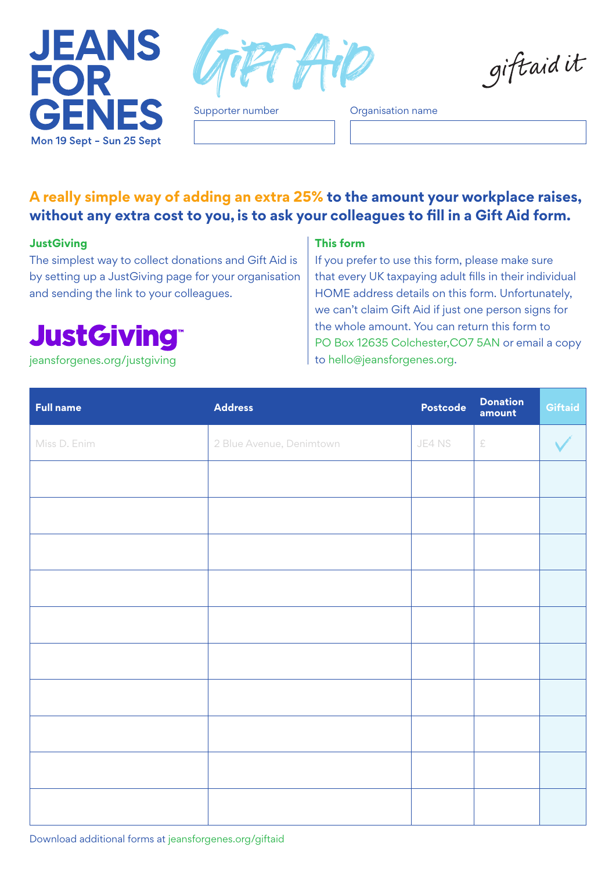



Supporter number **Organisation name** 

**A really simple way of adding an extra 25% to the amount your workplace raises, without any extra cost to you, is to ask your colleagues to fill in a Gift Aid form.**

## **JustGiving**

The simplest way to collect donations and Gift Aid is by setting up a JustGiving page for your organisation and sending the link to your colleagues.

## **JustGiving®**

## **This form**

If you prefer to use this form, please make sure that every UK taxpaying adult fills in their individual HOME address details on this form. Unfortunately, we can't claim Gift Aid if just one person signs for the whole amount. You can return this form to PO Box 12635 Colchester,CO7 5AN or email a copy [jeansforgenes.org/justgiving](www.jeansforgenes.org/justgiving) to the discussion of to hello@jeansforgenes.org.

giftaidit

| <b>Full name</b> | <b>Address</b>           | Postcode | Donation<br>amount | Giftaid |
|------------------|--------------------------|----------|--------------------|---------|
| Miss D. Enim     | 2 Blue Avenue, Denimtown | JE4 NS   | £                  |         |
|                  |                          |          |                    |         |
|                  |                          |          |                    |         |
|                  |                          |          |                    |         |
|                  |                          |          |                    |         |
|                  |                          |          |                    |         |
|                  |                          |          |                    |         |
|                  |                          |          |                    |         |
|                  |                          |          |                    |         |
|                  |                          |          |                    |         |
|                  |                          |          |                    |         |

Download additional forms at jeansforgenes.org/giftaid